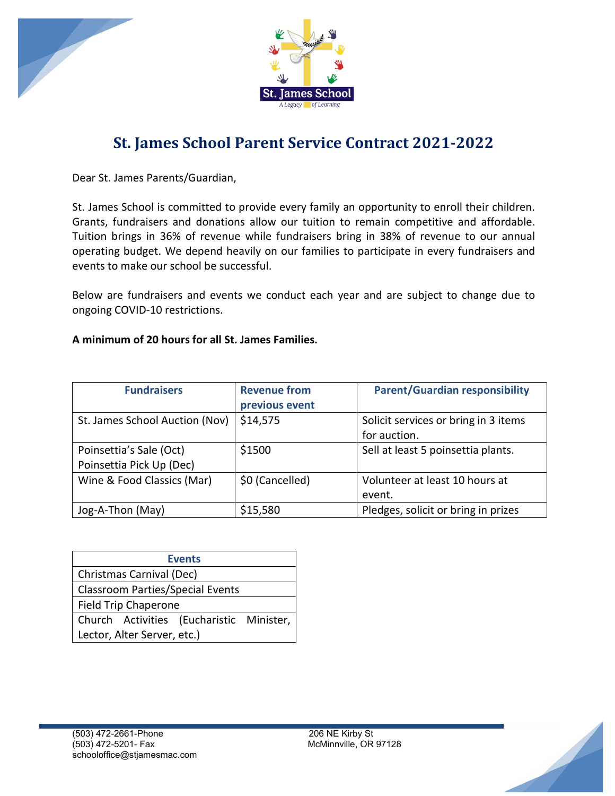



## **St. James School Parent Service Contract 2021-2022**

Dear St. James Parents/Guardian,

St. James School is committed to provide every family an opportunity to enroll their children. Grants, fundraisers and donations allow our tuition to remain competitive and affordable. Tuition brings in 36% of revenue while fundraisers bring in 38% of revenue to our annual operating budget. We depend heavily on our families to participate in every fundraisers and events to make our school be successful.

Below are fundraisers and events we conduct each year and are subject to change due to ongoing COVID-10 restrictions.

## **A minimum of 20 hours for all St. James Families.**

| <b>Fundraisers</b>                                  | <b>Revenue from</b><br>previous event | <b>Parent/Guardian responsibility</b>                |
|-----------------------------------------------------|---------------------------------------|------------------------------------------------------|
| St. James School Auction (Nov)                      | \$14,575                              | Solicit services or bring in 3 items<br>for auction. |
| Poinsettia's Sale (Oct)<br>Poinsettia Pick Up (Dec) | \$1500                                | Sell at least 5 poinsettia plants.                   |
| Wine & Food Classics (Mar)                          | \$0 (Cancelled)                       | Volunteer at least 10 hours at<br>event.             |
| Jog-A-Thon (May)                                    | \$15,580                              | Pledges, solicit or bring in prizes                  |

| <b>Events</b>                            |  |  |
|------------------------------------------|--|--|
| Christmas Carnival (Dec)                 |  |  |
| <b>Classroom Parties/Special Events</b>  |  |  |
| <b>Field Trip Chaperone</b>              |  |  |
| Church Activities (Eucharistic Minister, |  |  |
| Lector, Alter Server, etc.)              |  |  |